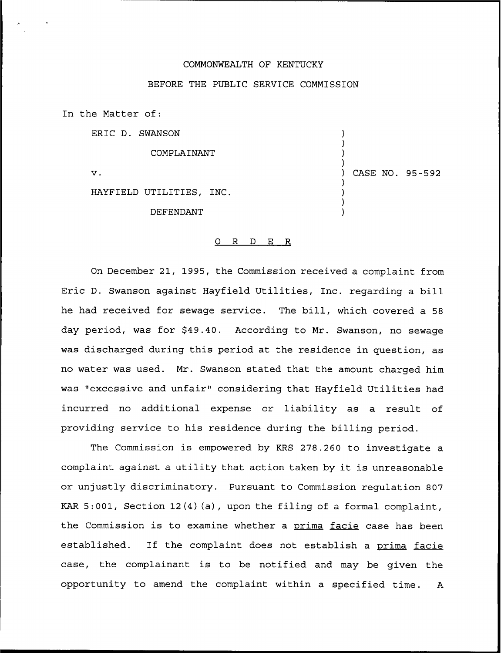### COMMONWEALTH OF KENTUCKY

## BEFORE THE PUBLIC SERVICE COMMISSION

) ) ) )

) ) ) )

) CASE NO. 95-592

In the Matter of:

ERIC D. SWANSON

COMPLAINANT

 $\mathbf{v}$ .

HAYFIELD UTILITIES, INC.

DEFENDANT

#### 0 R <sup>D</sup> E R

On December 21, 1995, the Commission received a complaint from Eric D. Swanson against Hayfield Utilities, Inc. regarding a bill he had received for sewage service. The bill, which covered a <sup>58</sup> day period, was for \$49.40. According to Mr. Swanson, no sewage was discharged during this period at the residence in question, as no water was used. Mr. Swanson stated that the amount charged him was "excessive and unfair" considering that Hayfield Utilities had incurred no additional expense or liability as a result of providing service to his residence during the billing period.

The Commission is empowered by KRS 278.260 to investigate a complaint against <sup>a</sup> utility that action taken by it is unreasonable or unjustly discriminatory. Pursuant to Commission regulation 807 KAR 5:001, Section 12(4)(a), upon the filing of a formal complaint, the Commission is to examine whether a prima facie case has been established. If the complaint does not establish a prima facie case, the complainant is to be notified and may be given the opportunity to amend the complaint within a specified time. <sup>A</sup>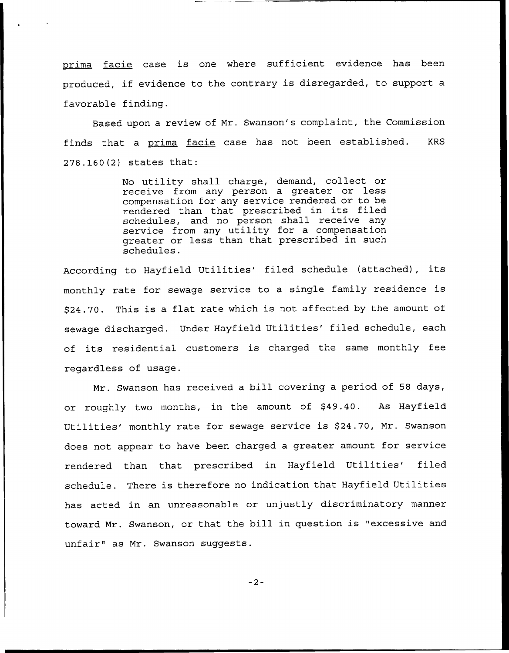prima facie case is one where sufficient evidence has been produced, if evidence to the contrary is disregarded, to support <sup>a</sup> favorable finding.

Based upon a review of Mr. Swanson's complaint, the Commission finds that a prima facie case has not been established. KRS 278.160(2) states that:

> No utility shall charge, demand, collect or receive from any person a greater or less compensation for any service rendered or to be rendered than that prescribed in its filed schedules, and no person shall receive any service from any utility for a compensation greater or less than that prescribed in such schedules.

According to Hayfield Utilities' filed schedule (attached), its monthly rate for sewage service to <sup>a</sup> single family residence is \$ 24.70. This is <sup>a</sup> flat rate which is not affected by the amount of sewage discharged. Under Hayfield Utilities' filed schedule, each of its residential customers is charged the same monthly fee regardless of usage.

Mr. Swanson has received a bill covering a period of 58 days, or roughly two months, in the amount of \$49.40. As Hayfield Utilities' monthly rate for sewage service is \$24.70, Mr. Swanson does not appear to have been charged a greater amount for service rendered than that prescribed in Hayfield Utilities'iled schedule. There is therefore no indication that Hayfield Utilities has acted in an unreasonable or unjustly discriminatory manner toward Mr. Swanson, or that the bill in question is "excessive and unfair" as Mr. Swanson suggests.

 $-2-$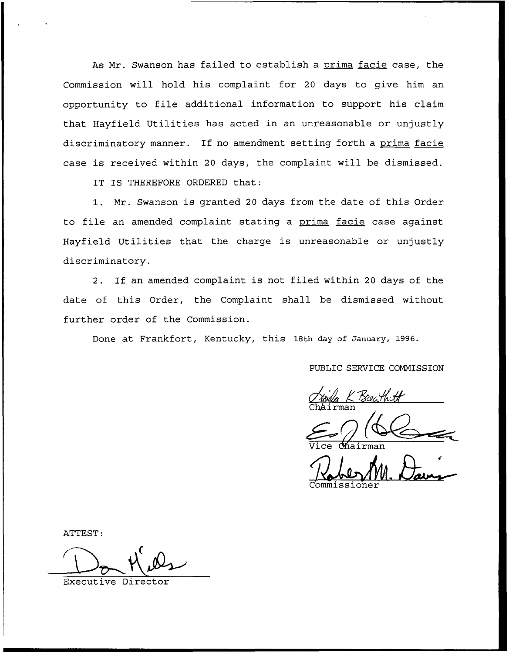As Mr. Swanson has failed to establish a prima facie case, the Commission will hold his complaint for 20 days to give him an opportunity to file additional information to support his claim that Hayfield Utilities has acted in an unreasonable or unjustly discriminatory manner. If no amendment setting forth a prima facie case is received within 20 days, the complaint will be dismissed.

IT IS THEREFORE ORDERED that:

1. Mr. Swanson is granted <sup>20</sup> days from the date of this Order to file an amended complaint stating a prima facie case against Hayfield Utilities that the charge is unreasonable or unjustly discriminatory.

2. If an amended complaint is not filed within <sup>20</sup> days of the date of this Order, the Complaint shall be dismissed without further order of the Commission.

Done at Frankfort, Kentucky, this 18th day of January, 1996.

PUBLIC SERVICE COMMISSION

Zwila K Breat

Vice Chairman

Commissione

ATTEST:

Executive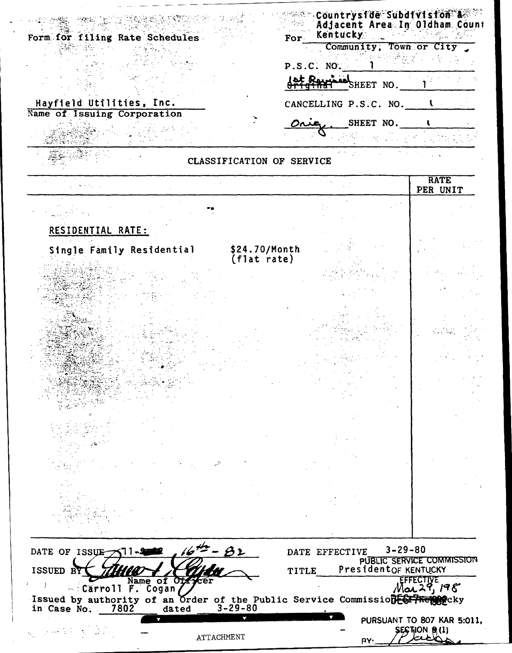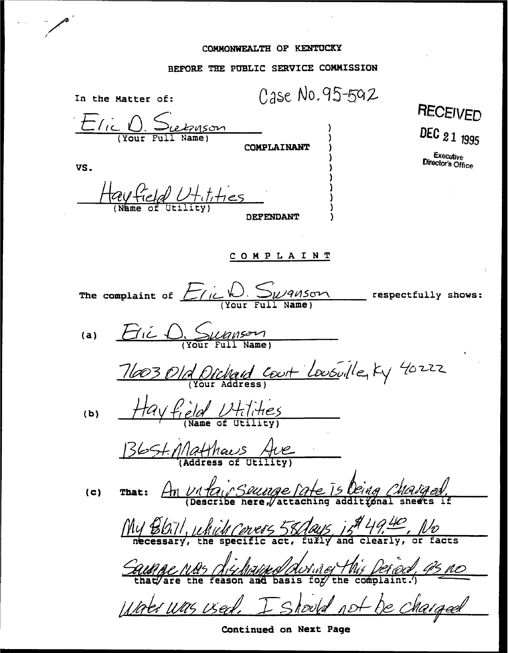## COMMONWEALTH OF KENTUCKY

 $\alpha$ 

# BEFORE THE PUBLIC SERVICE COMMISSION

| In the Matter of:                                                                            |                    | Case No. 95-592 |                                             |
|----------------------------------------------------------------------------------------------|--------------------|-----------------|---------------------------------------------|
| Elic D. Subuson                                                                              | <b>COMPLAINANT</b> |                 | <b>RECEIVED</b><br>DEC 21 1995<br>Executive |
| VS.                                                                                          |                    |                 | Director's Office                           |
| d Hitities                                                                                   |                    |                 |                                             |
|                                                                                              | <b>DEFENDANT</b>   |                 |                                             |
| <b>COMPLAINT</b>                                                                             |                    |                 |                                             |
| The complaint of Elick Swanson                                                               |                    |                 | respectfully shows:                         |
| (a)                                                                                          |                    |                 |                                             |
| 11003 Old Dichard Court Lousville, Ky 40222                                                  |                    |                 |                                             |
| (b)                                                                                          |                    |                 |                                             |
| <u>B6St. Matthaus Ave</u>                                                                    |                    |                 |                                             |
| That: An Vitair Seurope Pate 15 Deing Chaiged.<br>(c)                                        |                    |                 |                                             |
| $MyBDi// which (orers 58/day5) is 949.40, 100$                                               |                    |                 |                                             |
|                                                                                              |                    |                 |                                             |
| Caunque Mas dischaused Aurine This Derived, 95 no<br>Water was used. I should not be charged |                    |                 |                                             |
|                                                                                              |                    |                 |                                             |

Continued on Next Page